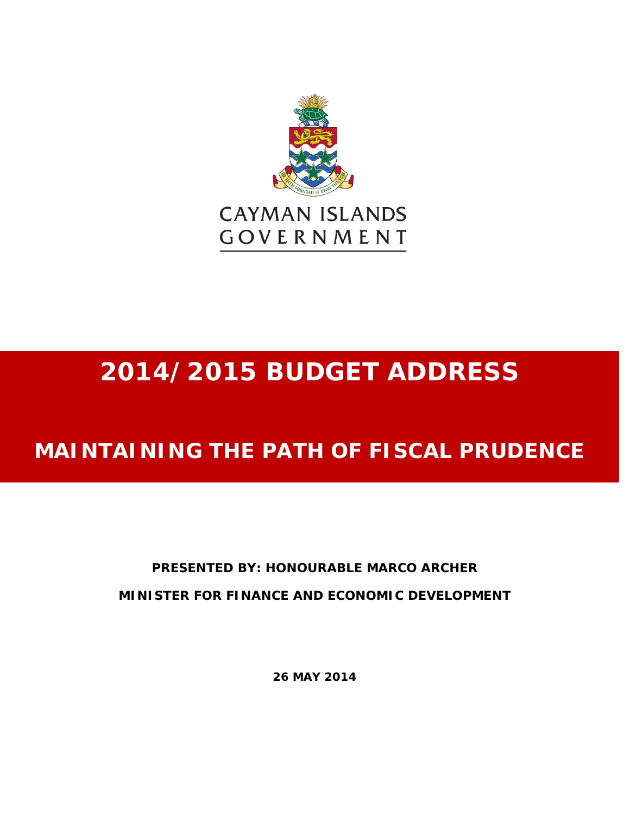

# **2014/2015 BUDGET ADDRESS**

## **MAINTAINING THE PATH OF FISCAL PRUDENCE**

### **PRESENTED BY: HONOURABLE MARCO ARCHER MINISTER FOR FINANCE AND ECONOMIC DEVELOPMENT**

**26 MAY 2014**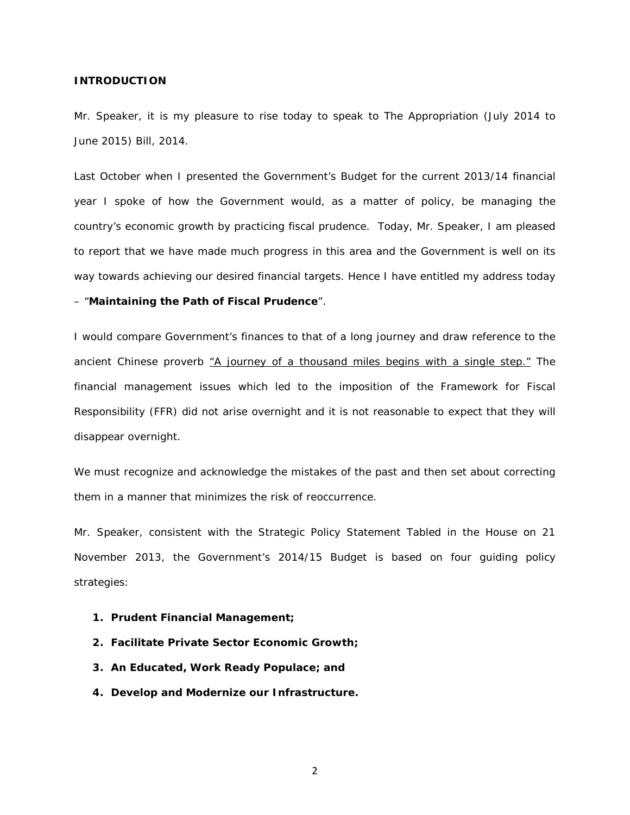#### **INTRODUCTION**

Mr. Speaker, it is my pleasure to rise today to speak to The Appropriation (July 2014 to June 2015) Bill, 2014.

Last October when I presented the Government's Budget for the current 2013/14 financial year I spoke of how the Government would, as a matter of policy, be managing the country's economic growth by practicing fiscal prudence. Today, Mr. Speaker, I am pleased to report that we have made much progress in this area and the Government is well on its way towards achieving our desired financial targets. Hence I have entitled my address today

#### – "**Maintaining the Path of Fiscal Prudence**".

I would compare Government's finances to that of a long journey and draw reference to the ancient Chinese proverb *"A journey of a thousand miles begins with a single step."* The financial management issues which led to the imposition of the Framework for Fiscal Responsibility (FFR) did not arise overnight and it is not reasonable to expect that they will disappear overnight.

We must recognize and acknowledge the mistakes of the past and then set about correcting them in a manner that minimizes the risk of reoccurrence.

Mr. Speaker, consistent with the Strategic Policy Statement Tabled in the House on 21 November 2013, the Government's 2014/15 Budget is based on four guiding policy strategies:

- **1. Prudent Financial Management;**
- **2. Facilitate Private Sector Economic Growth;**
- **3. An Educated, Work Ready Populace; and**
- **4. Develop and Modernize our Infrastructure.**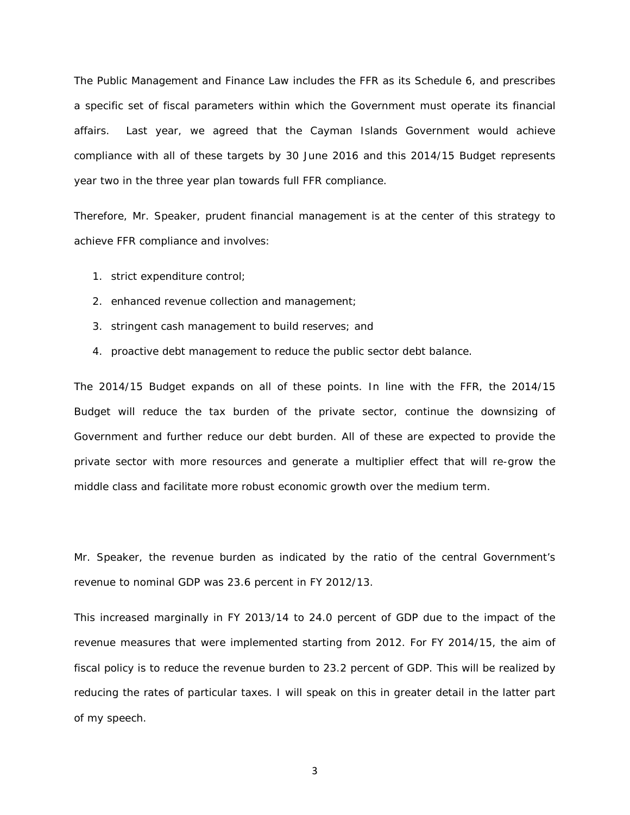The Public Management and Finance Law includes the FFR as its Schedule 6, and prescribes a specific set of fiscal parameters within which the Government must operate its financial affairs. Last year, we agreed that the Cayman Islands Government would achieve compliance with all of these targets by 30 June 2016 and this 2014/15 Budget represents year two in the three year plan towards full FFR compliance.

Therefore, Mr. Speaker, prudent financial management is at the center of this strategy to achieve FFR compliance and involves:

- 1. strict expenditure control;
- 2. enhanced revenue collection and management;
- 3. stringent cash management to build reserves; and
- 4. proactive debt management to reduce the public sector debt balance.

The 2014/15 Budget expands on all of these points. In line with the FFR, the 2014/15 Budget will reduce the tax burden of the private sector, continue the downsizing of Government and further reduce our debt burden. All of these are expected to provide the private sector with more resources and generate a multiplier effect that will re-grow the middle class and facilitate more robust economic growth over the medium term.

Mr. Speaker, the revenue burden as indicated by the ratio of the central Government's revenue to nominal GDP was 23.6 percent in FY 2012/13.

This increased marginally in FY 2013/14 to 24.0 percent of GDP due to the impact of the revenue measures that were implemented starting from 2012. For FY 2014/15, the aim of fiscal policy is to reduce the revenue burden to 23.2 percent of GDP. This will be realized by reducing the rates of particular taxes. I will speak on this in greater detail in the latter part of my speech.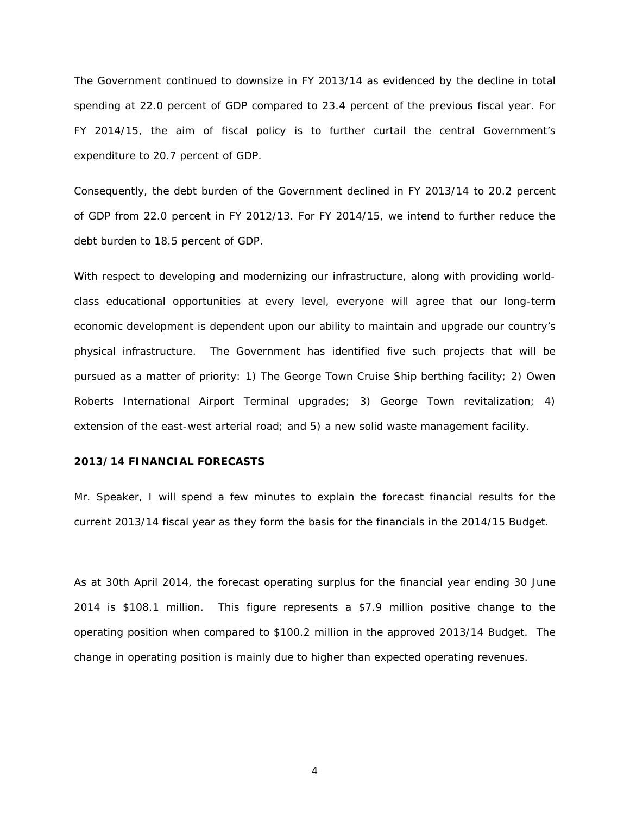The Government continued to downsize in FY 2013/14 as evidenced by the decline in total spending at 22.0 percent of GDP compared to 23.4 percent of the previous fiscal year. For FY 2014/15, the aim of fiscal policy is to further curtail the central Government's expenditure to 20.7 percent of GDP.

Consequently, the debt burden of the Government declined in FY 2013/14 to 20.2 percent of GDP from 22.0 percent in FY 2012/13. For FY 2014/15, we intend to further reduce the debt burden to 18.5 percent of GDP.

With respect to developing and modernizing our infrastructure, along with providing worldclass educational opportunities at every level, everyone will agree that our long-term economic development is dependent upon our ability to maintain and upgrade our country's physical infrastructure. The Government has identified five such projects that will be pursued as a matter of priority: 1) The George Town Cruise Ship berthing facility; 2) Owen Roberts International Airport Terminal upgrades; 3) George Town revitalization; 4) extension of the east-west arterial road; and 5) a new solid waste management facility.

#### **2013/14 FINANCIAL FORECASTS**

Mr. Speaker, I will spend a few minutes to explain the forecast financial results for the current 2013/14 fiscal year as they form the basis for the financials in the 2014/15 Budget.

As at 30th April 2014, the forecast operating surplus for the financial year ending 30 June 2014 is \$108.1 million. This figure represents a \$7.9 million positive change to the operating position when compared to \$100.2 million in the approved 2013/14 Budget. The change in operating position is mainly due to higher than expected operating revenues.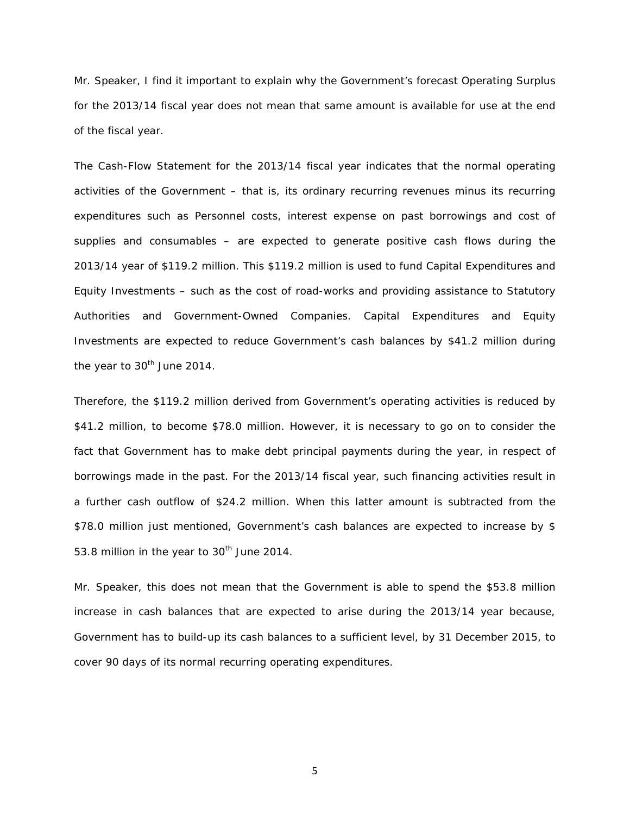Mr. Speaker, I find it important to explain why the Government's forecast Operating Surplus for the 2013/14 fiscal year does not mean that same amount is available for use at the end of the fiscal year.

The Cash-Flow Statement for the 2013/14 fiscal year indicates that the normal operating activities of the Government – that is, its ordinary recurring revenues minus its recurring expenditures such as Personnel costs, interest expense on past borrowings and cost of supplies and consumables – are expected to generate positive cash flows during the 2013/14 year of \$119.2 million. This \$119.2 million is used to fund Capital Expenditures and Equity Investments – such as the cost of road-works and providing assistance to Statutory Authorities and Government-Owned Companies. Capital Expenditures and Equity Investments are expected to reduce Government's cash balances by \$41.2 million during the year to  $30<sup>th</sup>$  June 2014.

Therefore, the \$119.2 million derived from Government's operating activities is reduced by \$41.2 million, to become \$78.0 million. However, it is necessary to go on to consider the fact that Government has to make debt principal payments during the year, in respect of borrowings made in the past. For the 2013/14 fiscal year, such financing activities result in a further cash outflow of \$24.2 million. When this latter amount is subtracted from the \$78.0 million just mentioned, Government's cash balances are expected to increase by \$ 53.8 million in the year to 30<sup>th</sup> June 2014.

Mr. Speaker, this does not mean that the Government is able to spend the \$53.8 million increase in cash balances that are expected to arise during the 2013/14 year because, Government has to build-up its cash balances to a sufficient level, by 31 December 2015, to cover 90 days of its normal recurring operating expenditures.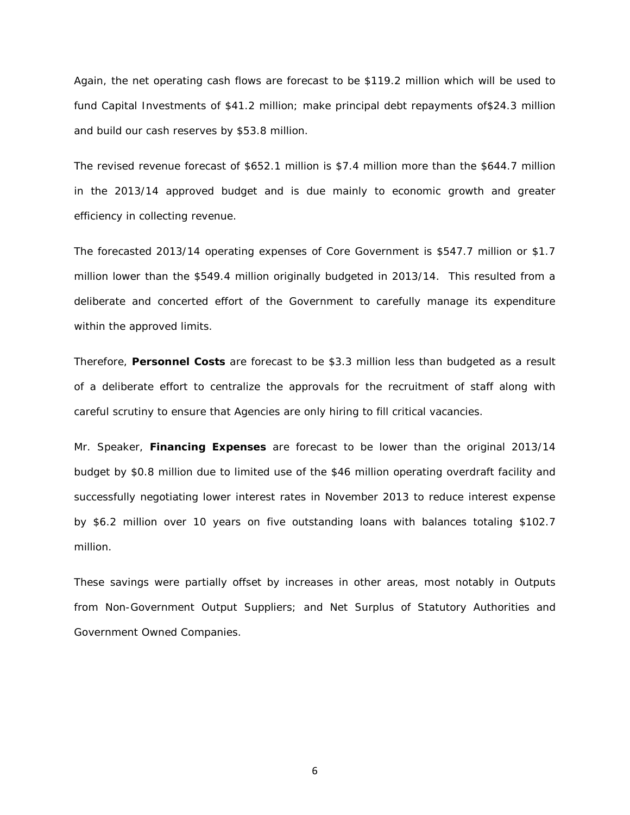Again, the net operating cash flows are forecast to be \$119.2 million which will be used to fund Capital Investments of \$41.2 million; make principal debt repayments of\$24.3 million and build our cash reserves by \$53.8 million.

The revised revenue forecast of \$652.1 million is \$7.4 million more than the \$644.7 million in the 2013/14 approved budget and is due mainly to economic growth and greater efficiency in collecting revenue.

The forecasted 2013/14 operating expenses of Core Government is \$547.7 million or \$1.7 million lower than the \$549.4 million originally budgeted in 2013/14. This resulted from a deliberate and concerted effort of the Government to carefully manage its expenditure within the approved limits.

Therefore, **Personnel Costs** are forecast to be \$3.3 million less than budgeted as a result of a deliberate effort to centralize the approvals for the recruitment of staff along with careful scrutiny to ensure that Agencies are only hiring to fill critical vacancies.

Mr. Speaker, **Financing Expenses** are forecast to be lower than the original 2013/14 budget by \$0.8 million due to limited use of the \$46 million operating overdraft facility and successfully negotiating lower interest rates in November 2013 to reduce interest expense by \$6.2 million over 10 years on five outstanding loans with balances totaling \$102.7 million.

These savings were partially offset by increases in other areas, most notably in Outputs from Non-Government Output Suppliers; and Net Surplus of Statutory Authorities and Government Owned Companies.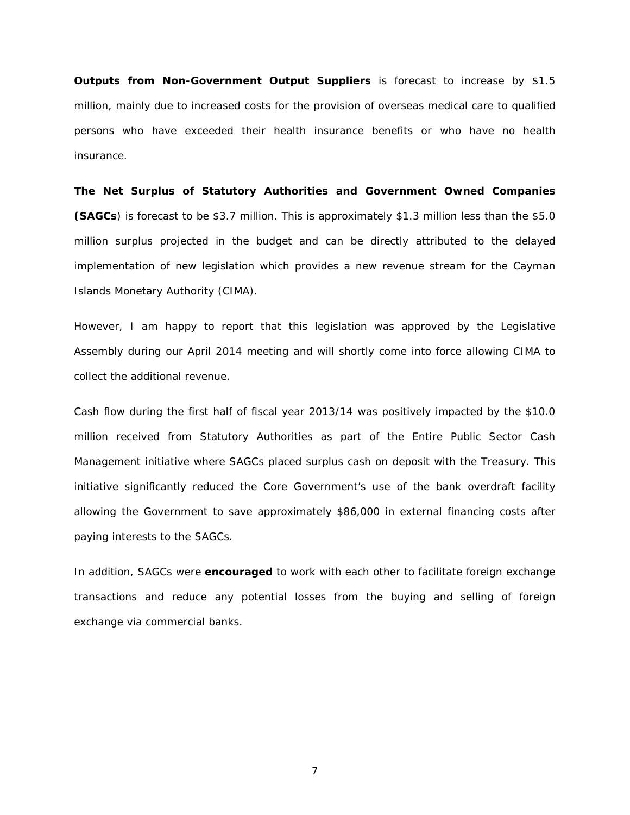**Outputs from Non-Government Output Suppliers** is forecast to increase by \$1.5 million, mainly due to increased costs for the provision of overseas medical care to qualified persons who have exceeded their health insurance benefits or who have no health insurance.

**The Net Surplus of Statutory Authorities and Government Owned Companies (SAGCs**) is forecast to be \$3.7 million. This is approximately \$1.3 million less than the \$5.0 million surplus projected in the budget and can be directly attributed to the delayed implementation of new legislation which provides a new revenue stream for the Cayman Islands Monetary Authority (CIMA).

However, I am happy to report that this legislation was approved by the Legislative Assembly during our April 2014 meeting and will shortly come into force allowing CIMA to collect the additional revenue.

Cash flow during the first half of fiscal year 2013/14 was positively impacted by the \$10.0 million received from Statutory Authorities as part of the Entire Public Sector Cash Management initiative where SAGCs placed surplus cash on deposit with the Treasury. This initiative significantly reduced the Core Government's use of the bank overdraft facility allowing the Government to save approximately \$86,000 in external financing costs after paying interests to the SAGCs.

In addition, SAGCs were **encouraged** to work with each other to facilitate foreign exchange transactions and reduce any potential losses from the buying and selling of foreign exchange via commercial banks.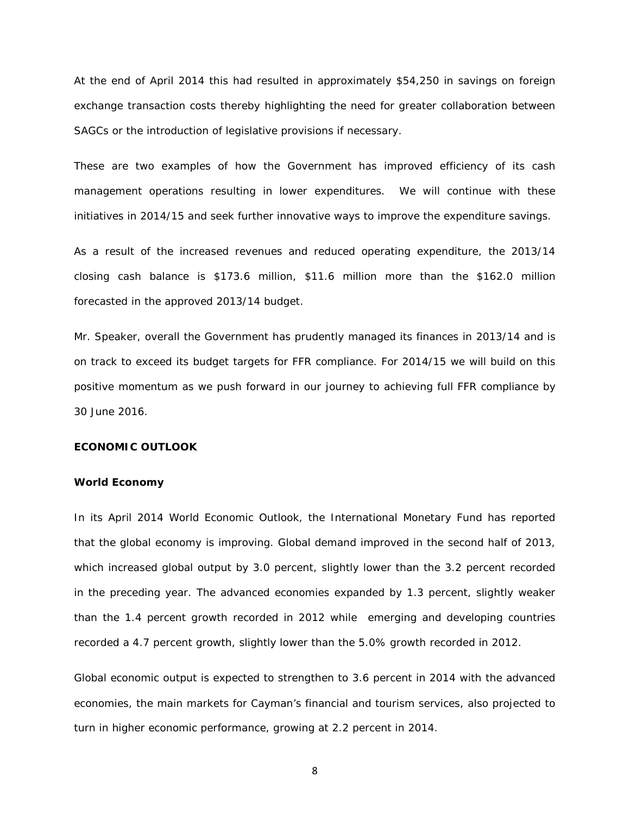At the end of April 2014 this had resulted in approximately \$54,250 in savings on foreign exchange transaction costs thereby highlighting the need for greater collaboration between SAGCs or the introduction of legislative provisions if necessary.

These are two examples of how the Government has improved efficiency of its cash management operations resulting in lower expenditures. We will continue with these initiatives in 2014/15 and seek further innovative ways to improve the expenditure savings.

As a result of the increased revenues and reduced operating expenditure, the 2013/14 closing cash balance is \$173.6 million, \$11.6 million more than the \$162.0 million forecasted in the approved 2013/14 budget.

Mr. Speaker, overall the Government has prudently managed its finances in 2013/14 and is on track to exceed its budget targets for FFR compliance. For 2014/15 we will build on this positive momentum as we push forward in our journey to achieving full FFR compliance by 30 June 2016.

#### **ECONOMIC OUTLOOK**

#### **World Economy**

In its April 2014 World Economic Outlook, the International Monetary Fund has reported that the global economy is improving. Global demand improved in the second half of 2013, which increased global output by 3.0 percent, slightly lower than the 3.2 percent recorded in the preceding year. The advanced economies expanded by 1.3 percent, slightly weaker than the 1.4 percent growth recorded in 2012 while emerging and developing countries recorded a 4.7 percent growth, slightly lower than the 5.0% growth recorded in 2012.

Global economic output is expected to strengthen to 3.6 percent in 2014 with the advanced economies, the main markets for Cayman's financial and tourism services, also projected to turn in higher economic performance, growing at 2.2 percent in 2014.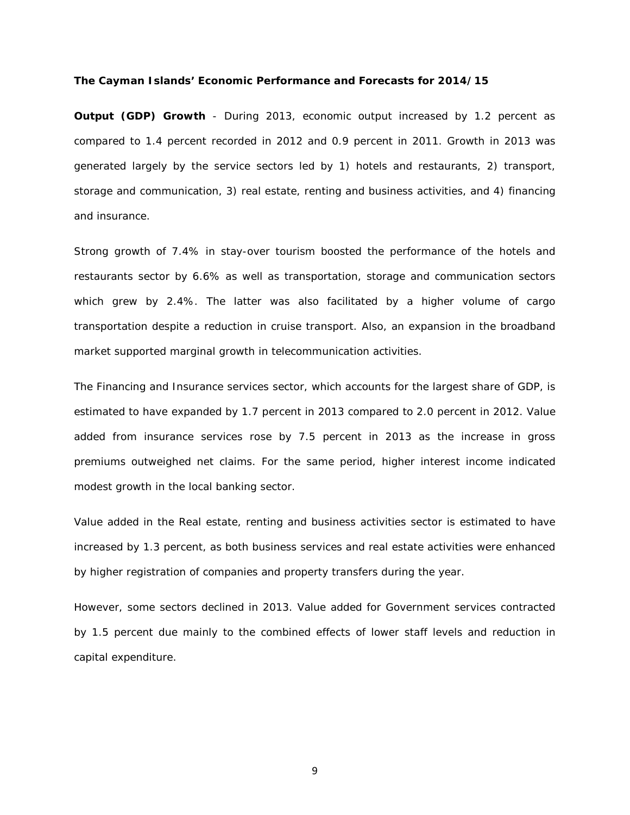#### **The Cayman Islands' Economic Performance and Forecasts for 2014/15**

**Output (GDP) Growth** - During 2013, economic output increased by 1.2 percent as compared to 1.4 percent recorded in 2012 and 0.9 percent in 2011. Growth in 2013 was generated largely by the service sectors led by 1) hotels and restaurants, 2) transport, storage and communication, 3) real estate, renting and business activities, and 4) financing and insurance.

Strong growth of 7.4% in stay-over tourism boosted the performance of the hotels and restaurants sector by 6.6% as well as transportation, storage and communication sectors which grew by 2.4%. The latter was also facilitated by a higher volume of cargo transportation despite a reduction in cruise transport. Also, an expansion in the broadband market supported marginal growth in telecommunication activities.

The Financing and Insurance services sector, which accounts for the largest share of GDP, is estimated to have expanded by 1.7 percent in 2013 compared to 2.0 percent in 2012. Value added from insurance services rose by 7.5 percent in 2013 as the increase in gross premiums outweighed net claims. For the same period, higher interest income indicated modest growth in the local banking sector.

Value added in the Real estate, renting and business activities sector is estimated to have increased by 1.3 percent, as both business services and real estate activities were enhanced by higher registration of companies and property transfers during the year.

However, some sectors declined in 2013. Value added for Government services contracted by 1.5 percent due mainly to the combined effects of lower staff levels and reduction in capital expenditure.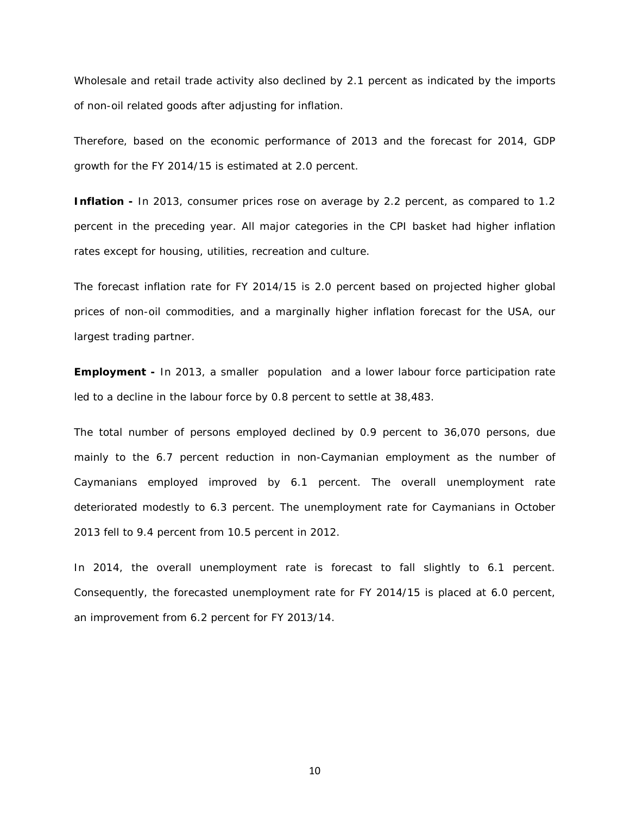Wholesale and retail trade activity also declined by 2.1 percent as indicated by the imports of non-oil related goods after adjusting for inflation.

Therefore, based on the economic performance of 2013 and the forecast for 2014, GDP growth for the FY 2014/15 is estimated at 2.0 percent.

**Inflation -** In 2013, consumer prices rose on average by 2.2 percent, as compared to 1.2 percent in the preceding year. All major categories in the CPI basket had higher inflation rates except for housing, utilities, recreation and culture.

The forecast inflation rate for FY 2014/15 is 2.0 percent based on projected higher global prices of non-oil commodities, and a marginally higher inflation forecast for the USA, our largest trading partner.

**Employment -** In 2013, a smaller population and a lower labour force participation rate led to a decline in the labour force by 0.8 percent to settle at 38,483.

The total number of persons employed declined by 0.9 percent to 36,070 persons, due mainly to the 6.7 percent reduction in non-Caymanian employment as the number of Caymanians employed improved by 6.1 percent. The overall unemployment rate deteriorated modestly to 6.3 percent. The unemployment rate for Caymanians in October 2013 fell to 9.4 percent from 10.5 percent in 2012.

In 2014, the overall unemployment rate is forecast to fall slightly to 6.1 percent. Consequently, the forecasted unemployment rate for FY 2014/15 is placed at 6.0 percent, an improvement from 6.2 percent for FY 2013/14.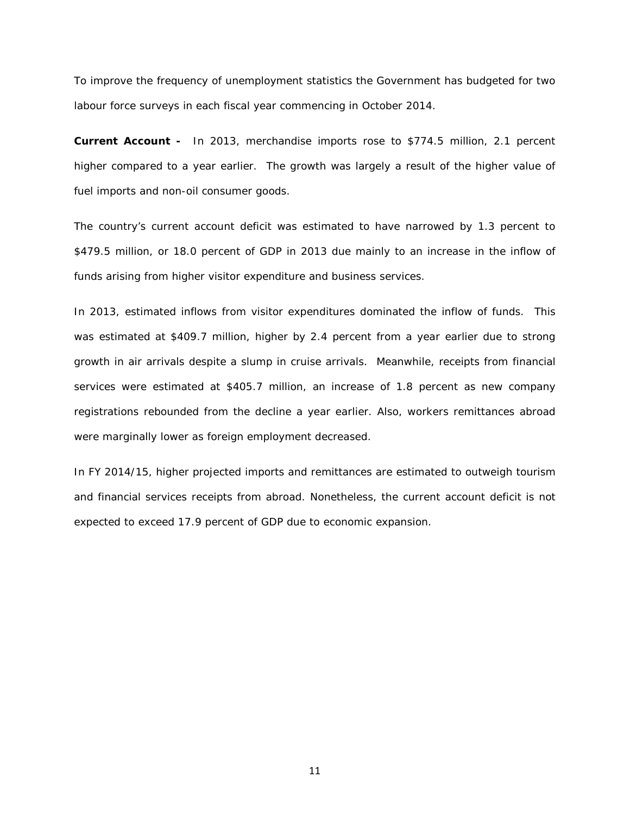To improve the frequency of unemployment statistics the Government has budgeted for two labour force surveys in each fiscal year commencing in October 2014.

**Current Account -** In 2013, merchandise imports rose to \$774.5 million, 2.1 percent higher compared to a year earlier. The growth was largely a result of the higher value of fuel imports and non-oil consumer goods.

The country's current account deficit was estimated to have narrowed by 1.3 percent to \$479.5 million, or 18.0 percent of GDP in 2013 due mainly to an increase in the inflow of funds arising from higher visitor expenditure and business services.

In 2013, estimated inflows from visitor expenditures dominated the inflow of funds. This was estimated at \$409.7 million, higher by 2.4 percent from a year earlier due to strong growth in air arrivals despite a slump in cruise arrivals. Meanwhile, receipts from financial services were estimated at \$405.7 million, an increase of 1.8 percent as new company registrations rebounded from the decline a year earlier. Also, workers remittances abroad were marginally lower as foreign employment decreased.

In FY 2014/15, higher projected imports and remittances are estimated to outweigh tourism and financial services receipts from abroad. Nonetheless, the current account deficit is not expected to exceed 17.9 percent of GDP due to economic expansion.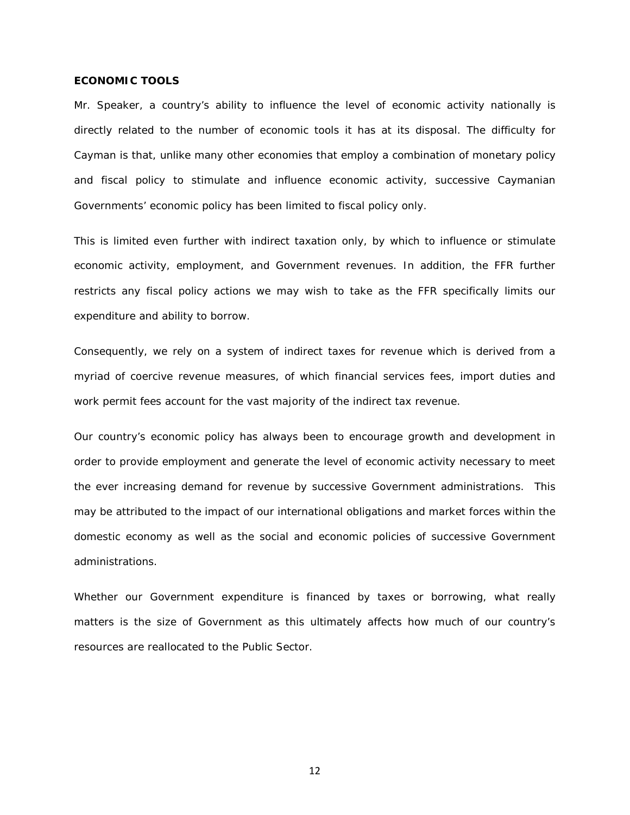#### **ECONOMIC TOOLS**

Mr. Speaker, a country's ability to influence the level of economic activity nationally is directly related to the number of economic tools it has at its disposal. The difficulty for Cayman is that, unlike many other economies that employ a combination of monetary policy and fiscal policy to stimulate and influence economic activity, successive Caymanian Governments' economic policy has been limited to fiscal policy only.

This is limited even further with indirect taxation only, by which to influence or stimulate economic activity, employment, and Government revenues. In addition, the FFR further restricts any fiscal policy actions we may wish to take as the FFR specifically limits our expenditure and ability to borrow.

Consequently, we rely on a system of indirect taxes for revenue which is derived from a myriad of coercive revenue measures, of which financial services fees, import duties and work permit fees account for the vast majority of the indirect tax revenue.

Our country's economic policy has always been to encourage growth and development in order to provide employment and generate the level of economic activity necessary to meet the ever increasing demand for revenue by successive Government administrations. This may be attributed to the impact of our international obligations and market forces within the domestic economy as well as the social and economic policies of successive Government administrations.

Whether our Government expenditure is financed by taxes or borrowing, what really matters is the size of Government as this ultimately affects how much of our country's resources are reallocated to the Public Sector.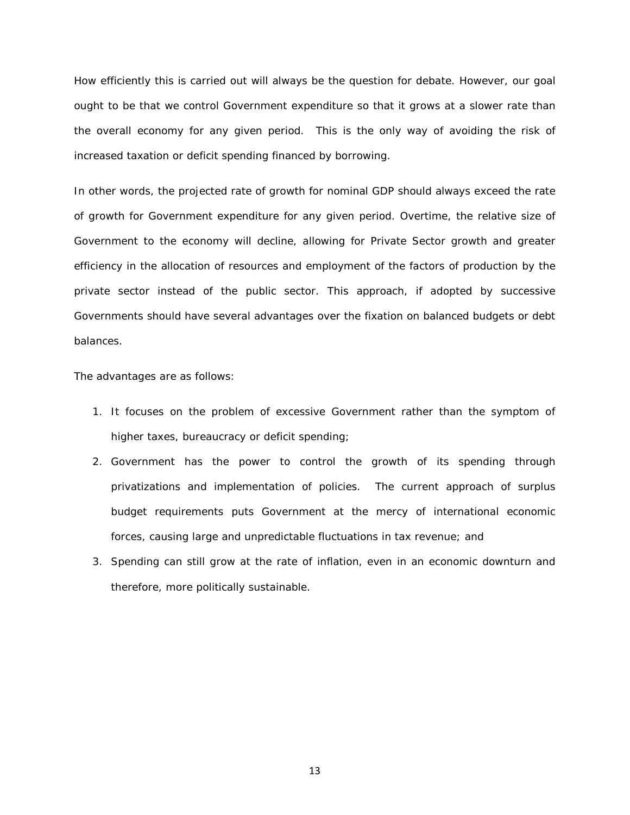How efficiently this is carried out will always be the question for debate. However, our goal ought to be that we control Government expenditure so that it grows at a slower rate than the overall economy for any given period. This is the only way of avoiding the risk of increased taxation or deficit spending financed by borrowing.

In other words, the projected rate of growth for nominal GDP should always exceed the rate of growth for Government expenditure for any given period. Overtime, the relative size of Government to the economy will decline, allowing for Private Sector growth and greater efficiency in the allocation of resources and employment of the factors of production by the private sector instead of the public sector. This approach, if adopted by successive Governments should have several advantages over the fixation on balanced budgets or debt balances.

The advantages are as follows:

- 1. It focuses on the problem of excessive Government rather than the symptom of higher taxes, bureaucracy or deficit spending;
- 2. Government has the power to control the growth of its spending through privatizations and implementation of policies. The current approach of surplus budget requirements puts Government at the mercy of international economic forces, causing large and unpredictable fluctuations in tax revenue; and
- 3. Spending can still grow at the rate of inflation, even in an economic downturn and therefore, more politically sustainable.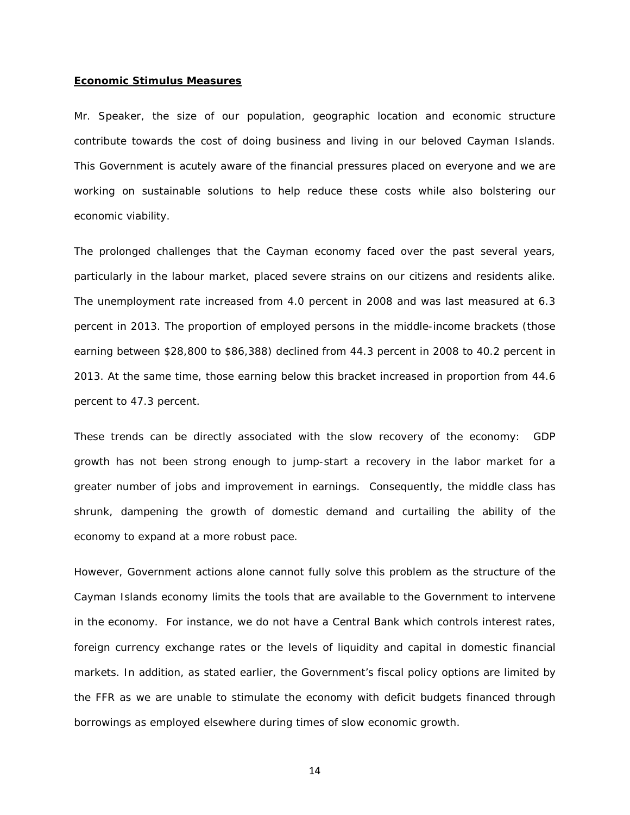#### **Economic Stimulus Measures**

Mr. Speaker, the size of our population, geographic location and economic structure contribute towards the cost of doing business and living in our beloved Cayman Islands. This Government is acutely aware of the financial pressures placed on everyone and we are working on sustainable solutions to help reduce these costs while also bolstering our economic viability.

The prolonged challenges that the Cayman economy faced over the past several years, particularly in the labour market, placed severe strains on our citizens and residents alike. The unemployment rate increased from 4.0 percent in 2008 and was last measured at 6.3 percent in 2013. The proportion of employed persons in the middle-income brackets (those earning between \$28,800 to \$86,388) declined from 44.3 percent in 2008 to 40.2 percent in 2013. At the same time, those earning below this bracket increased in proportion from 44.6 percent to 47.3 percent.

These trends can be directly associated with the slow recovery of the economy: GDP growth has not been strong enough to jump-start a recovery in the labor market for a greater number of jobs and improvement in earnings. Consequently, the middle class has shrunk, dampening the growth of domestic demand and curtailing the ability of the economy to expand at a more robust pace.

However, Government actions alone cannot fully solve this problem as the structure of the Cayman Islands economy limits the tools that are available to the Government to intervene in the economy. For instance, we do not have a Central Bank which controls interest rates, foreign currency exchange rates or the levels of liquidity and capital in domestic financial markets. In addition, as stated earlier, the Government's fiscal policy options are limited by the FFR as we are unable to stimulate the economy with deficit budgets financed through borrowings as employed elsewhere during times of slow economic growth.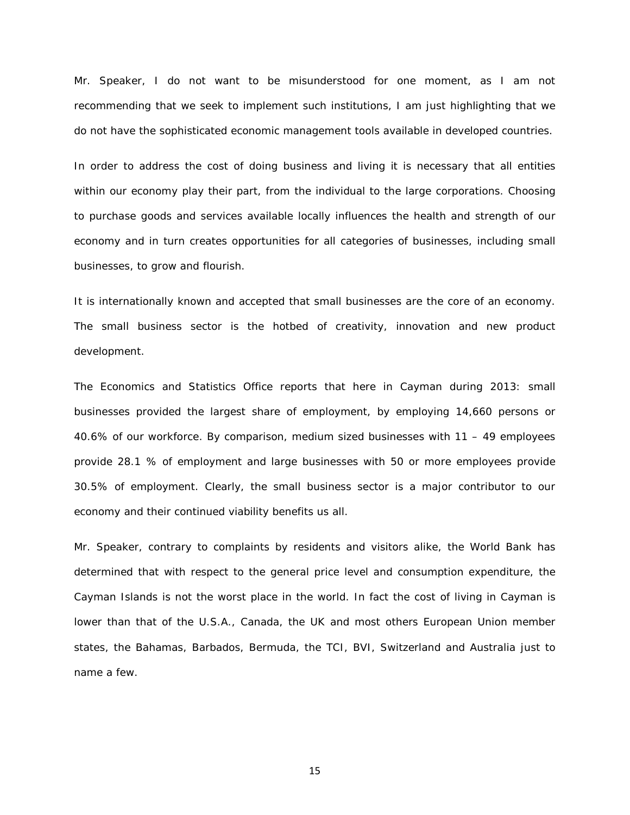Mr. Speaker, I do not want to be misunderstood for one moment, as I am not recommending that we seek to implement such institutions, I am just highlighting that we do not have the sophisticated economic management tools available in developed countries.

In order to address the cost of doing business and living it is necessary that all entities within our economy play their part, from the individual to the large corporations. Choosing to purchase goods and services available locally influences the health and strength of our economy and in turn creates opportunities for all categories of businesses, including small businesses, to grow and flourish.

It is internationally known and accepted that small businesses are the core of an economy. The small business sector is the hotbed of creativity, innovation and new product development.

The Economics and Statistics Office reports that here in Cayman during 2013: small businesses provided the largest share of employment, by employing 14,660 persons or 40.6% of our workforce. By comparison, medium sized businesses with 11 – 49 employees provide 28.1 % of employment and large businesses with 50 or more employees provide 30.5% of employment. Clearly, the small business sector is a major contributor to our economy and their continued viability benefits us all.

Mr. Speaker, contrary to complaints by residents and visitors alike, the World Bank has determined that with respect to the general price level and consumption expenditure, the Cayman Islands is not the worst place in the world. In fact the cost of living in Cayman is lower than that of the U.S.A., Canada, the UK and most others European Union member states, the Bahamas, Barbados, Bermuda, the TCI, BVI, Switzerland and Australia just to name a few.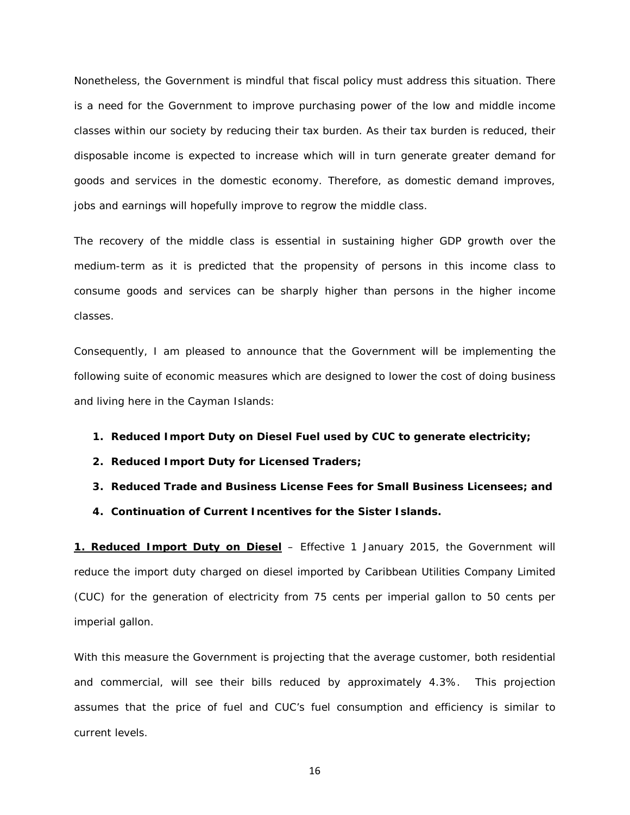Nonetheless, the Government is mindful that fiscal policy must address this situation. There is a need for the Government to improve purchasing power of the low and middle income classes within our society by reducing their tax burden. As their tax burden is reduced, their disposable income is expected to increase which will in turn generate greater demand for goods and services in the domestic economy. Therefore, as domestic demand improves, jobs and earnings will hopefully improve to regrow the middle class.

The recovery of the middle class is essential in sustaining higher GDP growth over the medium-term as it is predicted that the propensity of persons in this income class to consume goods and services can be sharply higher than persons in the higher income classes.

Consequently, I am pleased to announce that the Government will be implementing the following suite of economic measures which are designed to lower the cost of doing business and living here in the Cayman Islands:

- **1. Reduced Import Duty on Diesel Fuel used by CUC to generate electricity;**
- **2. Reduced Import Duty for Licensed Traders;**
- **3. Reduced Trade and Business License Fees for Small Business Licensees; and**
- **4. Continuation of Current Incentives for the Sister Islands.**

*1. Reduced Import Duty on Diesel* – Effective 1 January 2015, the Government will reduce the import duty charged on diesel imported by Caribbean Utilities Company Limited (CUC) for the generation of electricity from 75 cents per imperial gallon to 50 cents per imperial gallon.

With this measure the Government is projecting that the average customer, both residential and commercial, will see their bills reduced by approximately 4.3%. This projection assumes that the price of fuel and CUC's fuel consumption and efficiency is similar to current levels.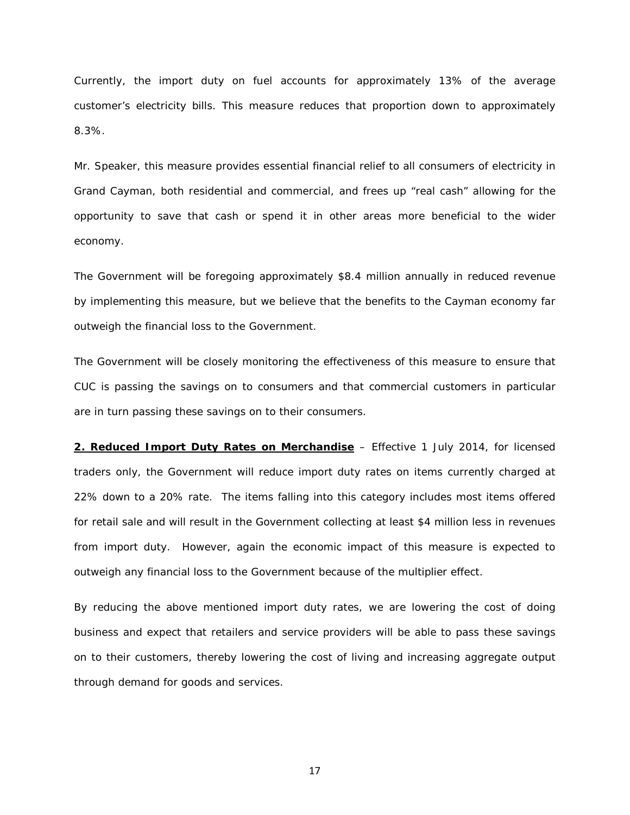Currently, the import duty on fuel accounts for approximately 13% of the average customer's electricity bills. This measure reduces that proportion down to approximately 8.3%.

Mr. Speaker, this measure provides essential financial relief to all consumers of electricity in Grand Cayman, both residential and commercial, and frees up "real cash" allowing for the opportunity to save that cash or spend it in other areas more beneficial to the wider economy.

The Government will be foregoing approximately \$8.4 million annually in reduced revenue by implementing this measure, but we believe that the benefits to the Cayman economy far outweigh the financial loss to the Government.

The Government will be closely monitoring the effectiveness of this measure to ensure that CUC is passing the savings on to consumers and that commercial customers in particular are in turn passing these savings on to their consumers.

*2. Reduced Import Duty Rates on Merchandise* – Effective 1 July 2014, for licensed traders only, the Government will reduce import duty rates on items currently charged at 22% down to a 20% rate. The items falling into this category includes most items offered for retail sale and will result in the Government collecting at least \$4 million less in revenues from import duty. However, again the economic impact of this measure is expected to outweigh any financial loss to the Government because of the multiplier effect.

By reducing the above mentioned import duty rates, we are lowering the cost of doing business and expect that retailers and service providers will be able to pass these savings on to their customers, thereby lowering the cost of living and increasing aggregate output through demand for goods and services.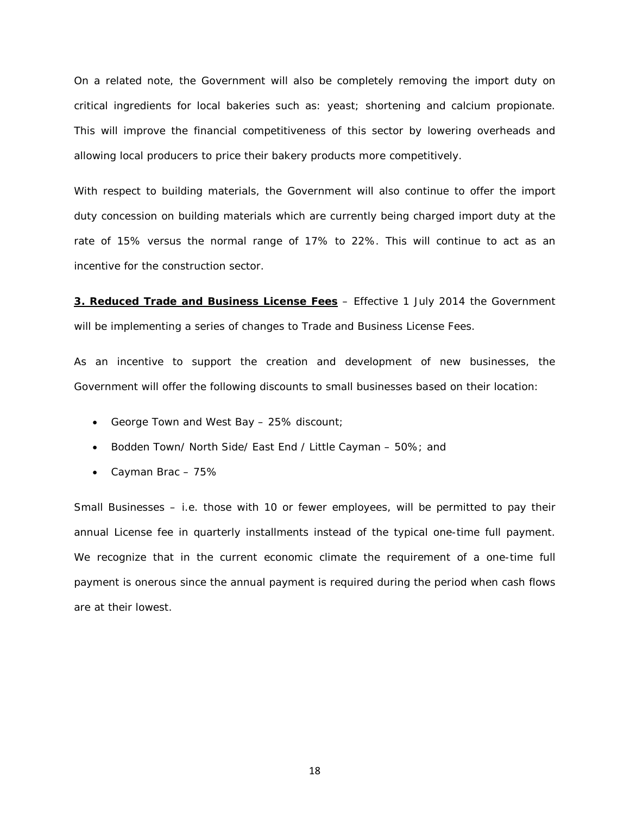On a related note, the Government will also be completely removing the import duty on critical ingredients for local bakeries such as: yeast; shortening and calcium propionate. This will improve the financial competitiveness of this sector by lowering overheads and allowing local producers to price their bakery products more competitively.

With respect to building materials, the Government will also continue to offer the import duty concession on building materials which are currently being charged import duty at the rate of 15% versus the normal range of 17% to 22%. This will continue to act as an incentive for the construction sector.

*3. Reduced Trade and Business License Fees* – Effective 1 July 2014 the Government will be implementing a series of changes to Trade and Business License Fees.

As an incentive to support the creation and development of new businesses, the Government will offer the following discounts to small businesses based on their location:

- George Town and West Bay 25% discount;
- Bodden Town/ North Side/ East End / Little Cayman 50%; and
- Cayman Brac 75%

Small Businesses – i.e. those with 10 or fewer employees, will be permitted to pay their annual License fee in quarterly installments instead of the typical one-time full payment. We recognize that in the current economic climate the requirement of a one-time full payment is onerous since the annual payment is required during the period when cash flows are at their lowest.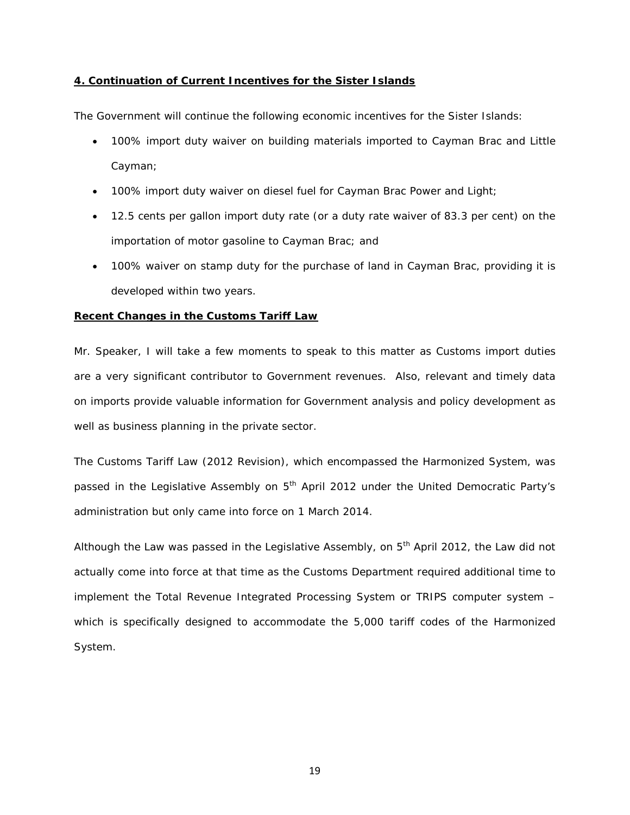#### *4. Continuation of Current Incentives for the Sister Islands*

The Government will continue the following economic incentives for the Sister Islands:

- 100% import duty waiver on building materials imported to Cayman Brac and Little Cayman;
- 100% import duty waiver on diesel fuel for Cayman Brac Power and Light;
- 12.5 cents per gallon import duty rate (or a duty rate waiver of 83.3 per cent) on the importation of motor gasoline to Cayman Brac; and
- 100% waiver on stamp duty for the purchase of land in Cayman Brac, providing it is developed within two years.

#### **Recent Changes in the Customs Tariff Law**

Mr. Speaker, I will take a few moments to speak to this matter as Customs import duties are a very significant contributor to Government revenues. Also, relevant and timely data on imports provide valuable information for Government analysis and policy development as well as business planning in the private sector.

The Customs Tariff Law (2012 Revision), which encompassed the Harmonized System, was passed in the Legislative Assembly on 5<sup>th</sup> April 2012 under the United Democratic Party's administration but only came into force on 1 March 2014.

Although the Law was passed in the Legislative Assembly, on  $5<sup>th</sup>$  April 2012, the Law did not actually come into force at that time as the Customs Department required additional time to implement the Total Revenue Integrated Processing System or TRIPS computer system – which is specifically designed to accommodate the 5,000 tariff codes of the Harmonized System.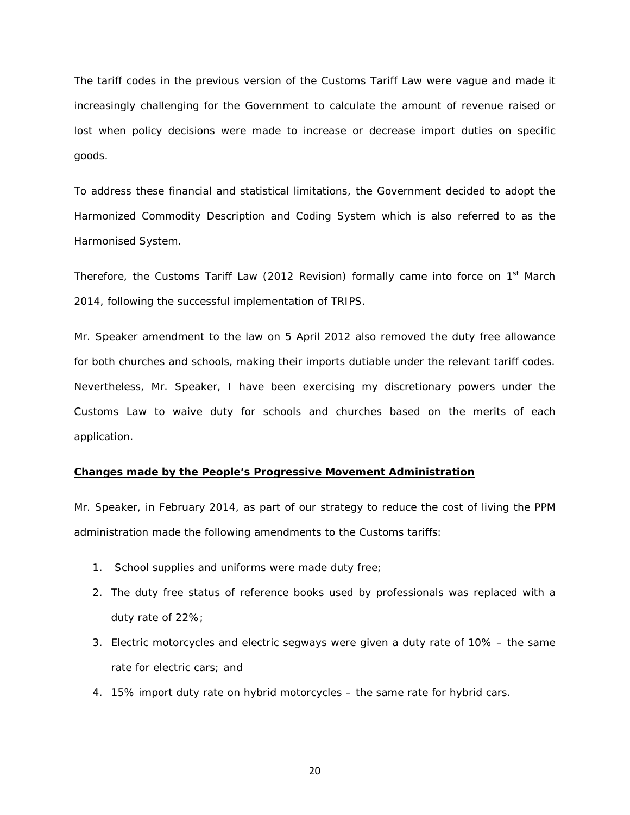The tariff codes in the previous version of the Customs Tariff Law were vague and made it increasingly challenging for the Government to calculate the amount of revenue raised or lost when policy decisions were made to increase or decrease import duties on specific goods.

To address these financial and statistical limitations, the Government decided to adopt the Harmonized Commodity Description and Coding System which is also referred to as the Harmonised System.

Therefore, the Customs Tariff Law (2012 Revision) formally came into force on 1<sup>st</sup> March 2014, following the successful implementation of TRIPS.

Mr. Speaker amendment to the law on 5 April 2012 also removed the duty free allowance for both churches and schools, making their imports dutiable under the relevant tariff codes. Nevertheless, Mr. Speaker, I have been exercising my discretionary powers under the Customs Law to waive duty for schools and churches based on the merits of each application.

#### **Changes made by the People's Progressive Movement Administration**

Mr. Speaker, in February 2014, as part of our strategy to reduce the cost of living the PPM administration made the following amendments to the Customs tariffs:

- 1. School supplies and uniforms were made duty free;
- 2. The duty free status of reference books used by professionals was replaced with a duty rate of 22%;
- 3. Electric motorcycles and electric segways were given a duty rate of 10% the same rate for electric cars; and
- 4. 15% import duty rate on hybrid motorcycles the same rate for hybrid cars.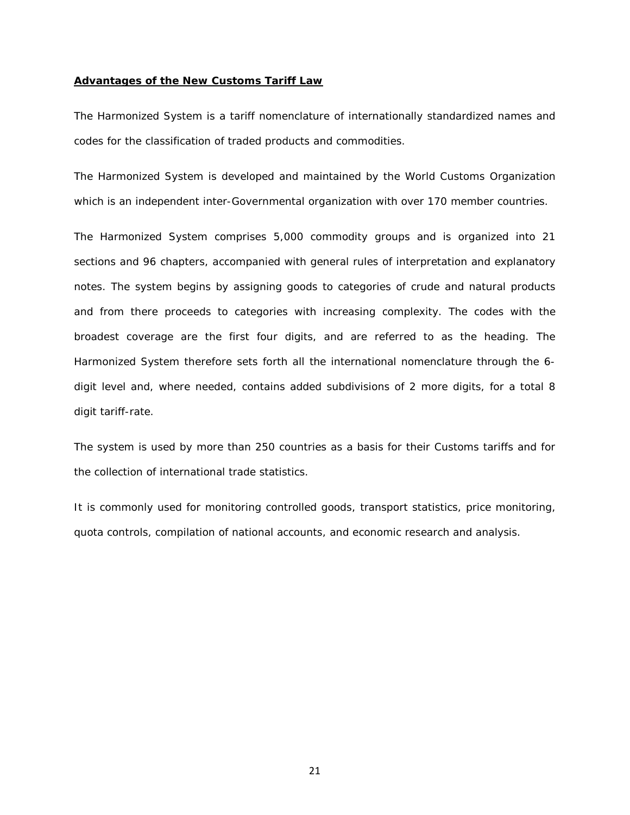#### **Advantages of the New Customs Tariff Law**

The Harmonized System is a [tariff](http://en.wikipedia.org/wiki/Tariff) [nomenclature](http://en.wikipedia.org/wiki/Nomenclature) of internationally standardized names and codes for the classification of traded products and commodities.

The Harmonized System is developed and maintained by the [World Customs Organization](http://en.wikipedia.org/wiki/World_Customs_Organization) which is an independent inter-Governmental organization with over 170 member countries.

The Harmonized System comprises 5,000 commodity groups and is organized into 21 sections and 96 chapters, accompanied with general rules of interpretation and explanatory notes. The system begins by assigning goods to categories of crude and natural products and from there proceeds to categories with increasing complexity. The codes with the broadest coverage are the first four digits, and are referred to as the heading. The Harmonized System therefore sets forth all the international nomenclature through the 6 digit level and, where needed, contains added subdivisions of 2 more digits, for a total 8 digit tariff-rate.

The system is used by more than 250 countries as a basis for their Customs tariffs and for the collection of international trade statistics.

It is commonly used for monitoring controlled goods, transport statistics, price monitoring, quota controls, compilation of national accounts, and economic research and analysis.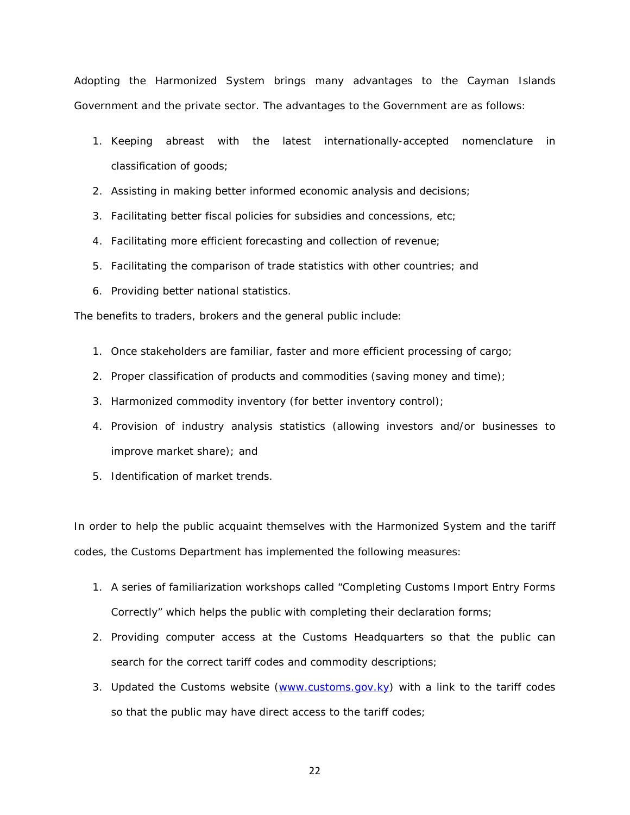Adopting the Harmonized System brings many advantages to the Cayman Islands Government and the private sector. The advantages to the Government are as follows:

- 1. Keeping abreast with the latest internationally-accepted nomenclature in classification of goods;
- 2. Assisting in making better informed economic analysis and decisions;
- 3. Facilitating better fiscal policies for subsidies and concessions, etc;
- 4. Facilitating more efficient forecasting and collection of revenue;
- 5. Facilitating the comparison of trade statistics with other countries; and
- 6. Providing better national statistics.

The benefits to traders, brokers and the general public include:

- 1. Once stakeholders are familiar, faster and more efficient processing of cargo;
- 2. Proper classification of products and commodities (saving money and time);
- 3. Harmonized commodity inventory (for better inventory control);
- 4. Provision of industry analysis statistics (allowing investors and/or businesses to improve market share); and
- 5. Identification of market trends.

In order to help the public acquaint themselves with the Harmonized System and the tariff codes, the Customs Department has implemented the following measures:

- 1. A series of familiarization workshops called "Completing Customs Import Entry Forms Correctly" which helps the public with completing their declaration forms;
- 2. Providing computer access at the Customs Headquarters so that the public can search for the correct tariff codes and commodity descriptions;
- 3. Updated the Customs website [\(www.customs.gov.ky\)](http://www.customs.gov.ky/) with a link to the tariff codes so that the public may have direct access to the tariff codes;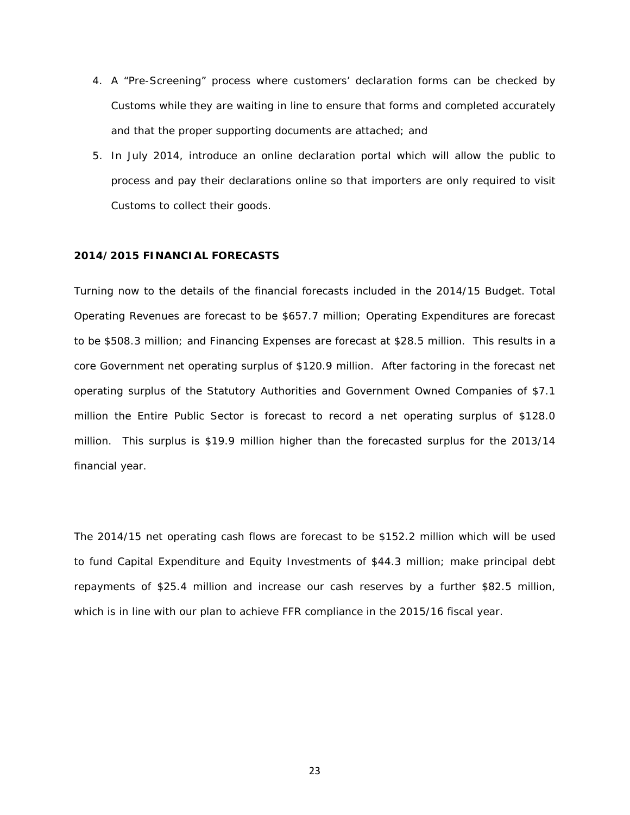- 4. A "Pre-Screening" process where customers' declaration forms can be checked by Customs while they are waiting in line to ensure that forms and completed accurately and that the proper supporting documents are attached; and
- 5. In July 2014, introduce an online declaration portal which will allow the public to process and pay their declarations online so that importers are only required to visit Customs to collect their goods.

#### **2014/2015 FINANCIAL FORECASTS**

Turning now to the details of the financial forecasts included in the 2014/15 Budget. Total Operating Revenues are forecast to be \$657.7 million; Operating Expenditures are forecast to be \$508.3 million; and Financing Expenses are forecast at \$28.5 million. This results in a core Government net operating surplus of \$120.9 million. After factoring in the forecast net operating surplus of the Statutory Authorities and Government Owned Companies of \$7.1 million the Entire Public Sector is forecast to record a net operating surplus of \$128.0 million. This surplus is \$19.9 million higher than the forecasted surplus for the 2013/14 financial year.

The 2014/15 net operating cash flows are forecast to be \$152.2 million which will be used to fund Capital Expenditure and Equity Investments of \$44.3 million; make principal debt repayments of \$25.4 million and increase our cash reserves by a further \$82.5 million, which is in line with our plan to achieve FFR compliance in the 2015/16 fiscal year.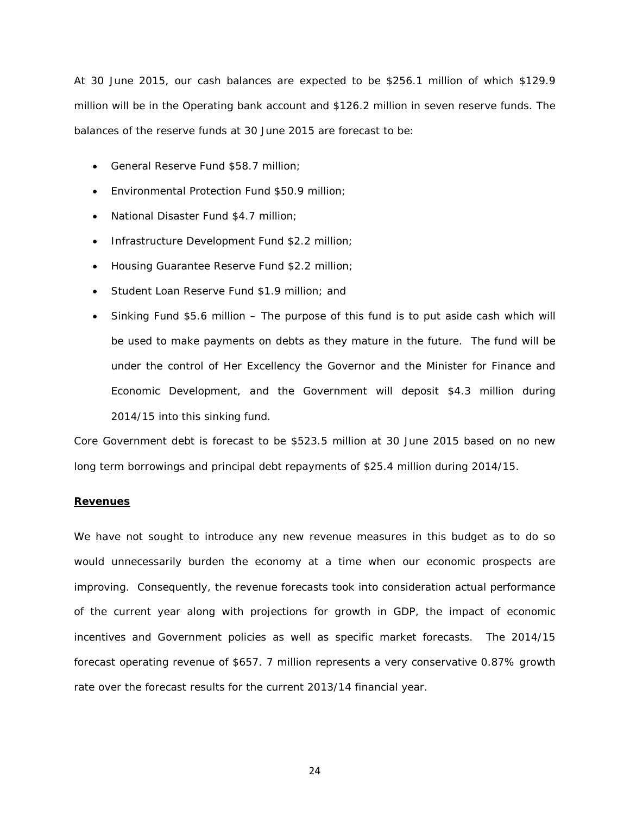At 30 June 2015, our cash balances are expected to be \$256.1 million of which \$129.9 million will be in the Operating bank account and \$126.2 million in seven reserve funds. The balances of the reserve funds at 30 June 2015 are forecast to be:

- General Reserve Fund \$58.7 million;
- Environmental Protection Fund \$50.9 million;
- National Disaster Fund \$4.7 million;
- Infrastructure Development Fund \$2.2 million;
- Housing Guarantee Reserve Fund \$2.2 million;
- Student Loan Reserve Fund \$1.9 million; and
- Sinking Fund \$5.6 million The purpose of this fund is to put aside cash which will be used to make payments on debts as they mature in the future. The fund will be under the control of Her Excellency the Governor and the Minister for Finance and Economic Development, and the Government will deposit \$4.3 million during 2014/15 into this sinking fund.

Core Government debt is forecast to be \$523.5 million at 30 June 2015 based on no new long term borrowings and principal debt repayments of \$25.4 million during 2014/15.

#### **Revenues**

We have not sought to introduce any new revenue measures in this budget as to do so would unnecessarily burden the economy at a time when our economic prospects are improving. Consequently, the revenue forecasts took into consideration actual performance of the current year along with projections for growth in GDP, the impact of economic incentives and Government policies as well as specific market forecasts. The 2014/15 forecast operating revenue of \$657. 7 million represents a very conservative 0.87% growth rate over the forecast results for the current 2013/14 financial year.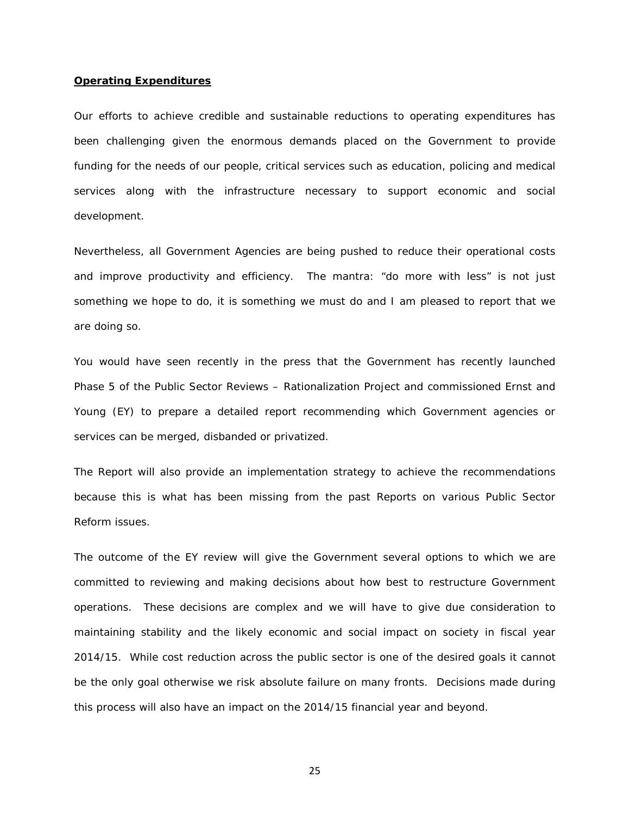#### **Operating Expenditures**

Our efforts to achieve credible and sustainable reductions to operating expenditures has been challenging given the enormous demands placed on the Government to provide funding for the needs of our people, critical services such as education, policing and medical services along with the infrastructure necessary to support economic and social development.

Nevertheless, all Government Agencies are being pushed to reduce their operational costs and improve productivity and efficiency. The mantra: "do more with less" is not just something we hope to do, it is something we must do and I am pleased to report that we are doing so.

You would have seen recently in the press that the Government has recently launched Phase 5 of the Public Sector Reviews – Rationalization Project and commissioned Ernst and Young (EY) to prepare a detailed report recommending which Government agencies or services can be merged, disbanded or privatized.

The Report will also provide an implementation strategy to achieve the recommendations because this is what has been missing from the past Reports on various Public Sector Reform issues.

The outcome of the EY review will give the Government several options to which we are committed to reviewing and making decisions about how best to restructure Government operations. These decisions are complex and we will have to give due consideration to maintaining stability and the likely economic and social impact on society in fiscal year 2014/15. While cost reduction across the public sector is one of the desired goals it cannot be the only goal otherwise we risk absolute failure on many fronts. Decisions made during this process will also have an impact on the 2014/15 financial year and beyond.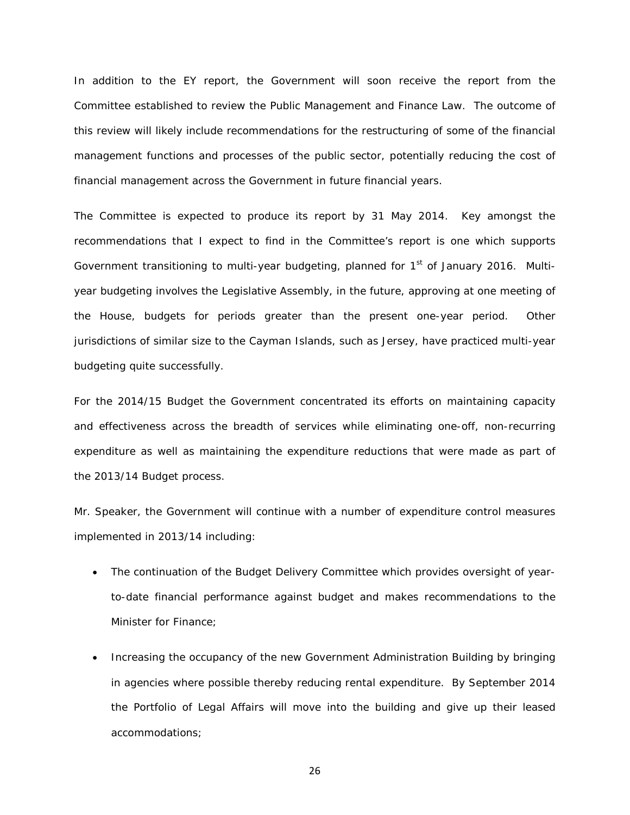In addition to the EY report, the Government will soon receive the report from the Committee established to review the Public Management and Finance Law. The outcome of this review will likely include recommendations for the restructuring of some of the financial management functions and processes of the public sector, potentially reducing the cost of financial management across the Government in future financial years.

The Committee is expected to produce its report by 31 May 2014. Key amongst the recommendations that I expect to find in the Committee's report is one which supports Government transitioning to multi-year budgeting, planned for  $1<sup>st</sup>$  of January 2016. Multiyear budgeting involves the Legislative Assembly, in the future, approving at one meeting of the House, budgets for periods greater than the present one-year period. Other jurisdictions of similar size to the Cayman Islands, such as Jersey, have practiced multi-year budgeting quite successfully.

For the 2014/15 Budget the Government concentrated its efforts on maintaining capacity and effectiveness across the breadth of services while eliminating one-off, non-recurring expenditure as well as maintaining the expenditure reductions that were made as part of the 2013/14 Budget process.

Mr. Speaker, the Government will continue with a number of expenditure control measures implemented in 2013/14 including:

- The continuation of the Budget Delivery Committee which provides oversight of yearto-date financial performance against budget and makes recommendations to the Minister for Finance;
- Increasing the occupancy of the new Government Administration Building by bringing in agencies where possible thereby reducing rental expenditure. By September 2014 the Portfolio of Legal Affairs will move into the building and give up their leased accommodations;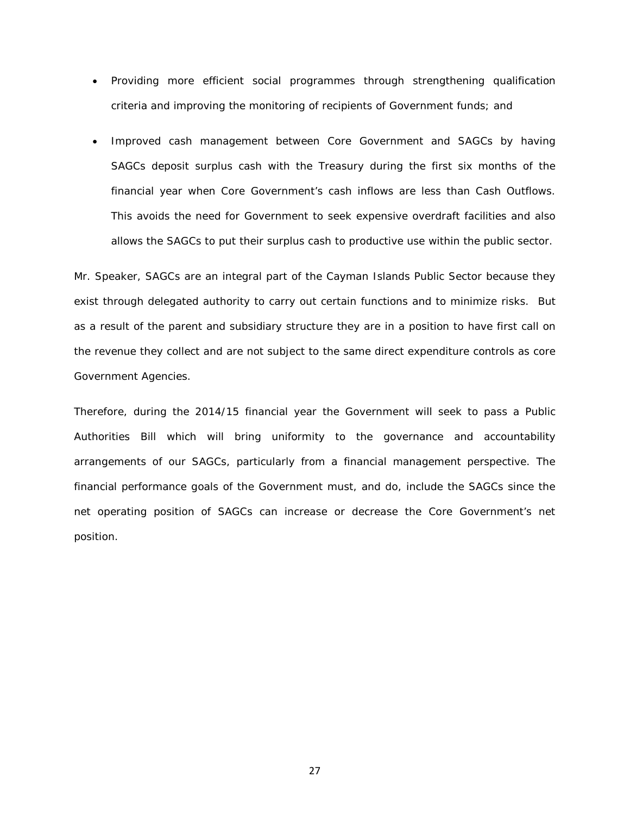- Providing more efficient social programmes through strengthening qualification criteria and improving the monitoring of recipients of Government funds; and
- Improved cash management between Core Government and SAGCs by having SAGCs deposit surplus cash with the Treasury during the first six months of the financial year when Core Government's cash inflows are less than Cash Outflows. This avoids the need for Government to seek expensive overdraft facilities and also allows the SAGCs to put their surplus cash to productive use within the public sector.

Mr. Speaker, SAGCs are an integral part of the Cayman Islands Public Sector because they exist through delegated authority to carry out certain functions and to minimize risks. But as a result of the parent and subsidiary structure they are in a position to have first call on the revenue they collect and are not subject to the same direct expenditure controls as core Government Agencies.

Therefore, during the 2014/15 financial year the Government will seek to pass a Public Authorities Bill which will bring uniformity to the governance and accountability arrangements of our SAGCs, particularly from a financial management perspective. The financial performance goals of the Government must, and do, include the SAGCs since the net operating position of SAGCs can increase or decrease the Core Government's net position.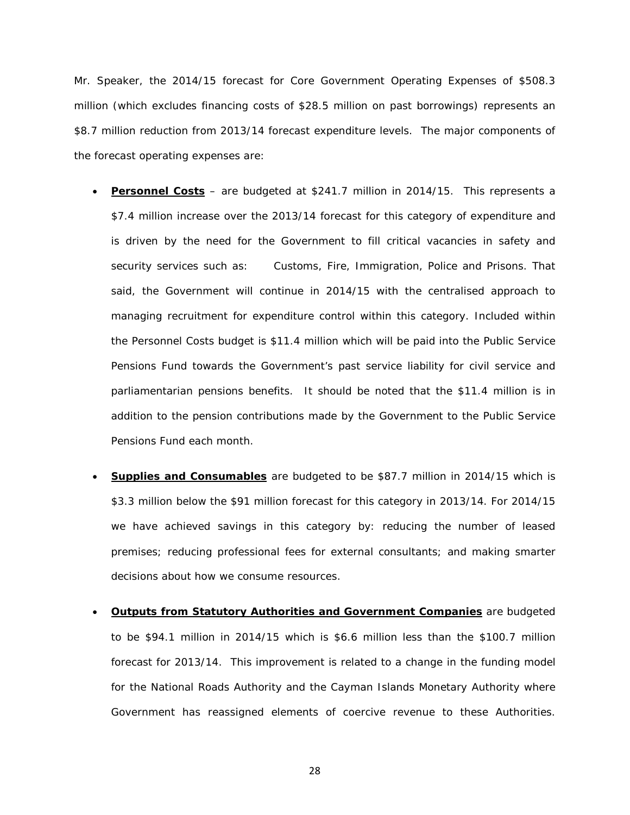Mr. Speaker, the 2014/15 forecast for Core Government Operating Expenses of \$508.3 million (which excludes financing costs of \$28.5 million on past borrowings) represents an \$8.7 million reduction from 2013/14 forecast expenditure levels. The major components of the forecast operating expenses are:

- **Personnel Costs** are budgeted at \$241.7 million in 2014/15. This represents a \$7.4 million increase over the 2013/14 forecast for this category of expenditure and is driven by the need for the Government to fill critical vacancies in safety and security services such as: Customs, Fire, Immigration, Police and Prisons. That said, the Government will continue in 2014/15 with the centralised approach to managing recruitment for expenditure control within this category. Included within the Personnel Costs budget is \$11.4 million which will be paid into the Public Service Pensions Fund towards the Government's past service liability for civil service and parliamentarian pensions benefits. It should be noted that the \$11.4 million is in addition to the pension contributions made by the Government to the Public Service Pensions Fund each month.
- **Supplies and Consumables** are budgeted to be \$87.7 million in 2014/15 which is \$3.3 million below the \$91 million forecast for this category in 2013/14. For 2014/15 we have achieved savings in this category by: reducing the number of leased premises; reducing professional fees for external consultants; and making smarter decisions about how we consume resources.
- **Outputs from Statutory Authorities and Government Companies** are budgeted to be \$94.1 million in 2014/15 which is \$6.6 million less than the \$100.7 million forecast for 2013/14. This improvement is related to a change in the funding model for the National Roads Authority and the Cayman Islands Monetary Authority where Government has reassigned elements of coercive revenue to these Authorities.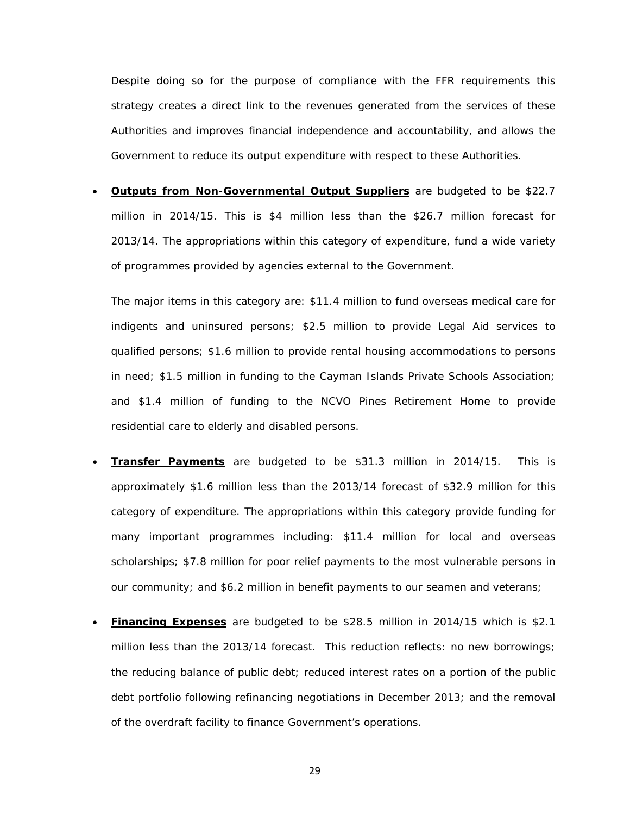Despite doing so for the purpose of compliance with the FFR requirements this strategy creates a direct link to the revenues generated from the services of these Authorities and improves financial independence and accountability, and allows the Government to reduce its output expenditure with respect to these Authorities.

• **Outputs from Non-Governmental Output Suppliers** are budgeted to be \$22.7 million in 2014/15. This is \$4 million less than the \$26.7 million forecast for 2013/14. The appropriations within this category of expenditure, fund a wide variety of programmes provided by agencies external to the Government.

The major items in this category are: \$11.4 million to fund overseas medical care for indigents and uninsured persons; \$2.5 million to provide Legal Aid services to qualified persons; \$1.6 million to provide rental housing accommodations to persons in need; \$1.5 million in funding to the Cayman Islands Private Schools Association; and \$1.4 million of funding to the NCVO Pines Retirement Home to provide residential care to elderly and disabled persons.

- **Transfer Payments** are budgeted to be \$31.3 million in 2014/15. This is approximately \$1.6 million less than the 2013/14 forecast of \$32.9 million for this category of expenditure. The appropriations within this category provide funding for many important programmes including: \$11.4 million for local and overseas scholarships; \$7.8 million for poor relief payments to the most vulnerable persons in our community; and \$6.2 million in benefit payments to our seamen and veterans;
- **Financing Expenses** are budgeted to be \$28.5 million in 2014/15 which is \$2.1 million less than the 2013/14 forecast. This reduction reflects: no new borrowings; the reducing balance of public debt; reduced interest rates on a portion of the public debt portfolio following refinancing negotiations in December 2013; and the removal of the overdraft facility to finance Government's operations.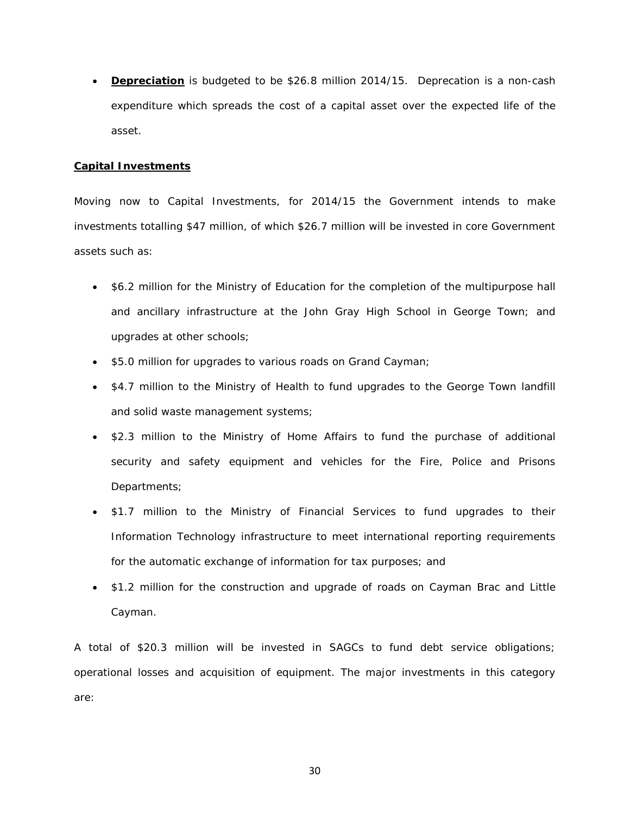• **Depreciation** is budgeted to be \$26.8 million 2014/15. Deprecation is a non-cash expenditure which spreads the cost of a capital asset over the expected life of the asset.

#### **Capital Investments**

Moving now to Capital Investments, for 2014/15 the Government intends to make investments totalling \$47 million, of which \$26.7 million will be invested in core Government assets such as:

- \$6.2 million for the Ministry of Education for the completion of the multipurpose hall and ancillary infrastructure at the John Gray High School in George Town; and upgrades at other schools;
- \$5.0 million for upgrades to various roads on Grand Cayman;
- \$4.7 million to the Ministry of Health to fund upgrades to the George Town landfill and solid waste management systems;
- \$2.3 million to the Ministry of Home Affairs to fund the purchase of additional security and safety equipment and vehicles for the Fire, Police and Prisons Departments;
- \$1.7 million to the Ministry of Financial Services to fund upgrades to their Information Technology infrastructure to meet international reporting requirements for the automatic exchange of information for tax purposes; and
- \$1.2 million for the construction and upgrade of roads on Cayman Brac and Little Cayman.

A total of \$20.3 million will be invested in SAGCs to fund debt service obligations; operational losses and acquisition of equipment. The major investments in this category are: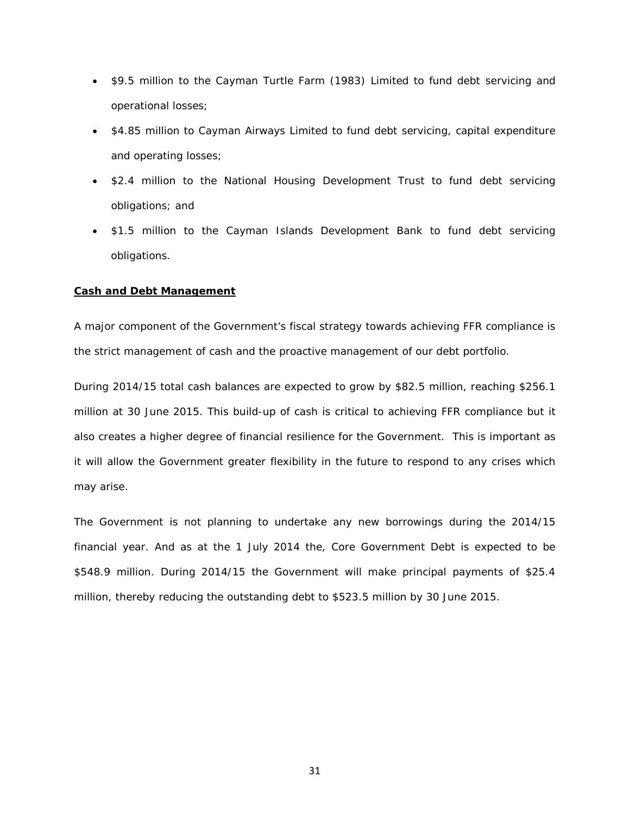- \$9.5 million to the Cayman Turtle Farm (1983) Limited to fund debt servicing and operational losses;
- \$4.85 million to Cayman Airways Limited to fund debt servicing, capital expenditure and operating losses;
- \$2.4 million to the National Housing Development Trust to fund debt servicing obligations; and
- \$1.5 million to the Cayman Islands Development Bank to fund debt servicing obligations.

#### **Cash and Debt Management**

A major component of the Government's fiscal strategy towards achieving FFR compliance is the strict management of cash and the proactive management of our debt portfolio.

During 2014/15 total cash balances are expected to grow by \$82.5 million, reaching \$256.1 million at 30 June 2015. This build-up of cash is critical to achieving FFR compliance but it also creates a higher degree of financial resilience for the Government. This is important as it will allow the Government greater flexibility in the future to respond to any crises which may arise.

The Government is not planning to undertake any new borrowings during the 2014/15 financial year. And as at the 1 July 2014 the, Core Government Debt is expected to be \$548.9 million. During 2014/15 the Government will make principal payments of \$25.4 million, thereby reducing the outstanding debt to \$523.5 million by 30 June 2015.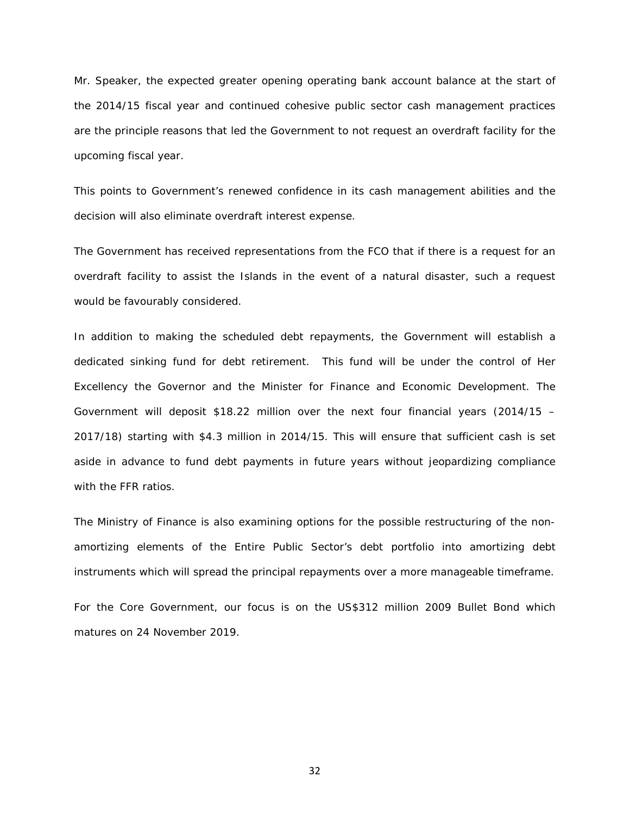Mr. Speaker, the expected greater opening operating bank account balance at the start of the 2014/15 fiscal year and continued cohesive public sector cash management practices are the principle reasons that led the Government to not request an overdraft facility for the upcoming fiscal year.

This points to Government's renewed confidence in its cash management abilities and the decision will also eliminate overdraft interest expense.

The Government has received representations from the FCO that if there is a request for an overdraft facility to assist the Islands in the event of a natural disaster, such a request would be favourably considered.

In addition to making the scheduled debt repayments, the Government will establish a dedicated sinking fund for debt retirement. This fund will be under the control of Her Excellency the Governor and the Minister for Finance and Economic Development. The Government will deposit \$18.22 million over the next four financial years (2014/15 – 2017/18) starting with \$4.3 million in 2014/15. This will ensure that sufficient cash is set aside in advance to fund debt payments in future years without jeopardizing compliance with the FFR ratios.

The Ministry of Finance is also examining options for the possible restructuring of the nonamortizing elements of the Entire Public Sector's debt portfolio into amortizing debt instruments which will spread the principal repayments over a more manageable timeframe.

For the Core Government, our focus is on the US\$312 million 2009 Bullet Bond which matures on 24 November 2019.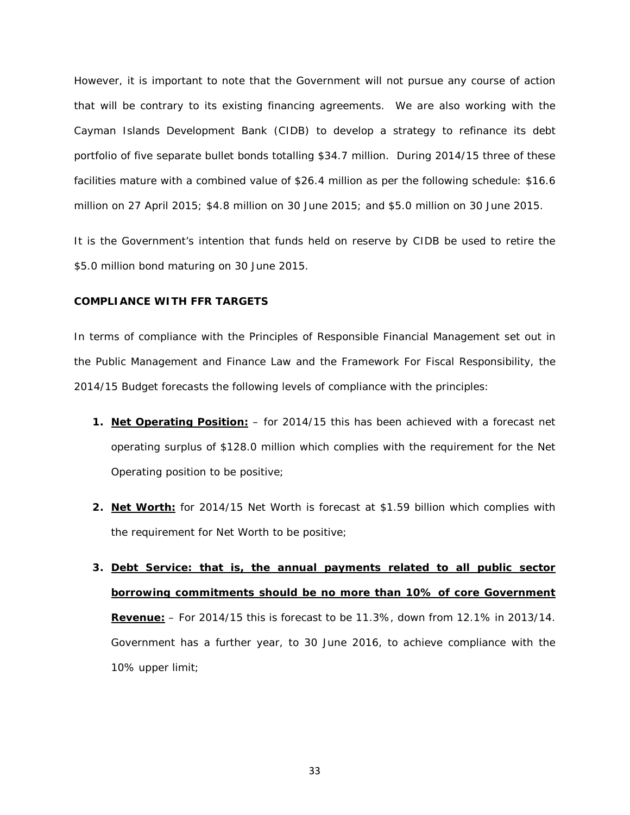However, it is important to note that the Government will not pursue any course of action that will be contrary to its existing financing agreements. We are also working with the Cayman Islands Development Bank (CIDB) to develop a strategy to refinance its debt portfolio of five separate bullet bonds totalling \$34.7 million. During 2014/15 three of these facilities mature with a combined value of \$26.4 million as per the following schedule: \$16.6 million on 27 April 2015; \$4.8 million on 30 June 2015; and \$5.0 million on 30 June 2015.

It is the Government's intention that funds held on reserve by CIDB be used to retire the \$5.0 million bond maturing on 30 June 2015.

#### **COMPLIANCE WITH FFR TARGETS**

In terms of compliance with the Principles of Responsible Financial Management set out in the Public Management and Finance Law and the Framework For Fiscal Responsibility, the 2014/15 Budget forecasts the following levels of compliance with the principles:

- **1. Net Operating Position:** for 2014/15 this has been achieved with a forecast net operating surplus of \$128.0 million which complies with the requirement for the Net Operating position to be positive;
- **2. Net Worth:** for 2014/15 Net Worth is forecast at \$1.59 billion which complies with the requirement for Net Worth to be positive;
- **3. Debt Service: that is, the annual payments related to all public sector borrowing commitments should be no more than 10% of core Government Revenue:** – For 2014/15 this is forecast to be 11.3%, down from 12.1% in 2013/14. Government has a further year, to 30 June 2016, to achieve compliance with the 10% upper limit;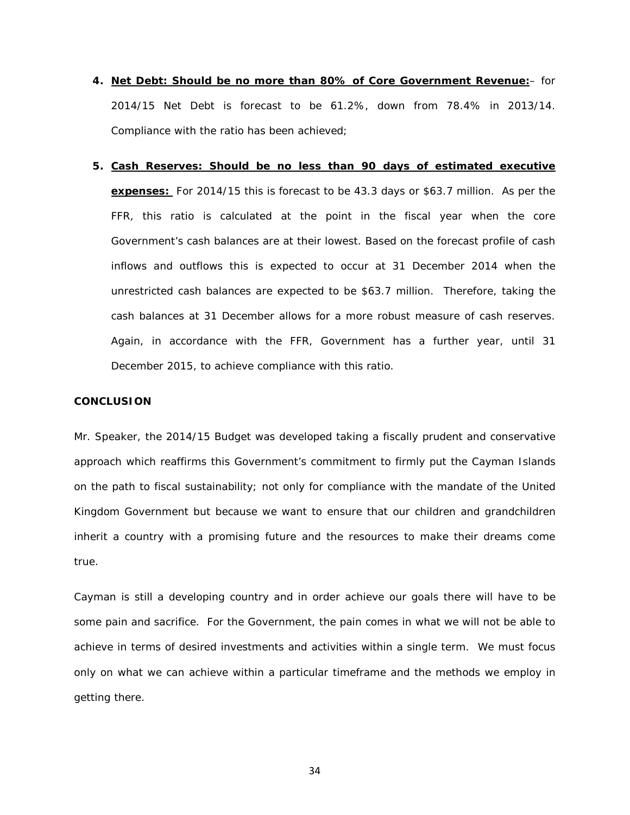- **4. Net Debt: Should be no more than 80% of Core Government Revenue:** for 2014/15 Net Debt is forecast to be 61.2%, down from 78.4% in 2013/14. Compliance with the ratio has been achieved;
- **5. Cash Reserves: Should be no less than 90 days of estimated executive expenses:** For 2014/15 this is forecast to be 43.3 days or \$63.7 million. As per the FFR, this ratio is calculated at the point in the fiscal year when the core Government's cash balances are at their lowest. Based on the forecast profile of cash inflows and outflows this is expected to occur at 31 December 2014 when the unrestricted cash balances are expected to be \$63.7 million. Therefore, taking the cash balances at 31 December allows for a more robust measure of cash reserves. Again, in accordance with the FFR, Government has a further year, until 31 December 2015, to achieve compliance with this ratio.

#### **CONCLUSION**

Mr. Speaker, the 2014/15 Budget was developed taking a fiscally prudent and conservative approach which reaffirms this Government's commitment to firmly put the Cayman Islands on the path to fiscal sustainability; not only for compliance with the mandate of the United Kingdom Government but because we want to ensure that our children and grandchildren inherit a country with a promising future and the resources to make their dreams come true.

Cayman is still a developing country and in order achieve our goals there will have to be some pain and sacrifice. For the Government, the pain comes in what we will not be able to achieve in terms of desired investments and activities within a single term. We must focus only on what we can achieve within a particular timeframe and the methods we employ in getting there.